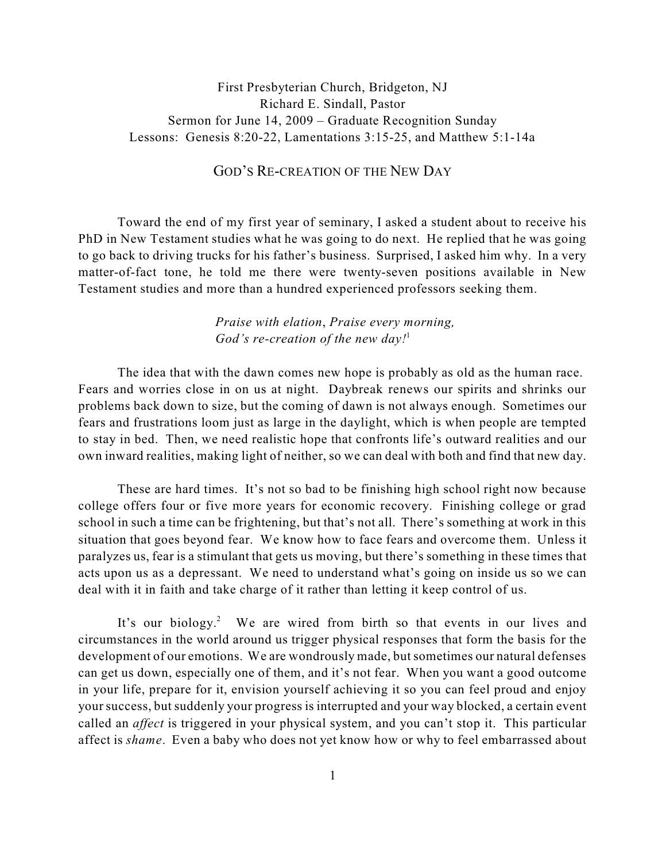## First Presbyterian Church, Bridgeton, NJ Richard E. Sindall, Pastor Sermon for June 14, 2009 – Graduate Recognition Sunday Lessons: Genesis 8:20-22, Lamentations 3:15-25, and Matthew 5:1-14a

## GOD'S RE-CREATION OF THE NEW DAY

Toward the end of my first year of seminary, I asked a student about to receive his PhD in New Testament studies what he was going to do next. He replied that he was going to go back to driving trucks for his father's business. Surprised, I asked him why. In a very matter-of-fact tone, he told me there were twenty-seven positions available in New Testament studies and more than a hundred experienced professors seeking them.

> *Praise with elation*, *Praise every morning, God's re-creation of the new day!* 1

The idea that with the dawn comes new hope is probably as old as the human race. Fears and worries close in on us at night. Daybreak renews our spirits and shrinks our problems back down to size, but the coming of dawn is not always enough. Sometimes our fears and frustrations loom just as large in the daylight, which is when people are tempted to stay in bed. Then, we need realistic hope that confronts life's outward realities and our own inward realities, making light of neither, so we can deal with both and find that new day.

These are hard times. It's not so bad to be finishing high school right now because college offers four or five more years for economic recovery. Finishing college or grad school in such a time can be frightening, but that's not all. There's something at work in this situation that goes beyond fear. We know how to face fears and overcome them. Unless it paralyzes us, fear is a stimulant that gets us moving, but there's something in these times that acts upon us as a depressant. We need to understand what's going on inside us so we can deal with it in faith and take charge of it rather than letting it keep control of us.

It's our biology.<sup>2</sup> We are wired from birth so that events in our lives and circumstances in the world around us trigger physical responses that form the basis for the development of our emotions. We are wondrously made, but sometimes our natural defenses can get us down, especially one of them, and it's not fear. When you want a good outcome in your life, prepare for it, envision yourself achieving it so you can feel proud and enjoy yoursuccess, but suddenly your progress is interrupted and your way blocked, a certain event called an *affect* is triggered in your physical system, and you can't stop it. This particular affect is *shame*. Even a baby who does not yet know how or why to feel embarrassed about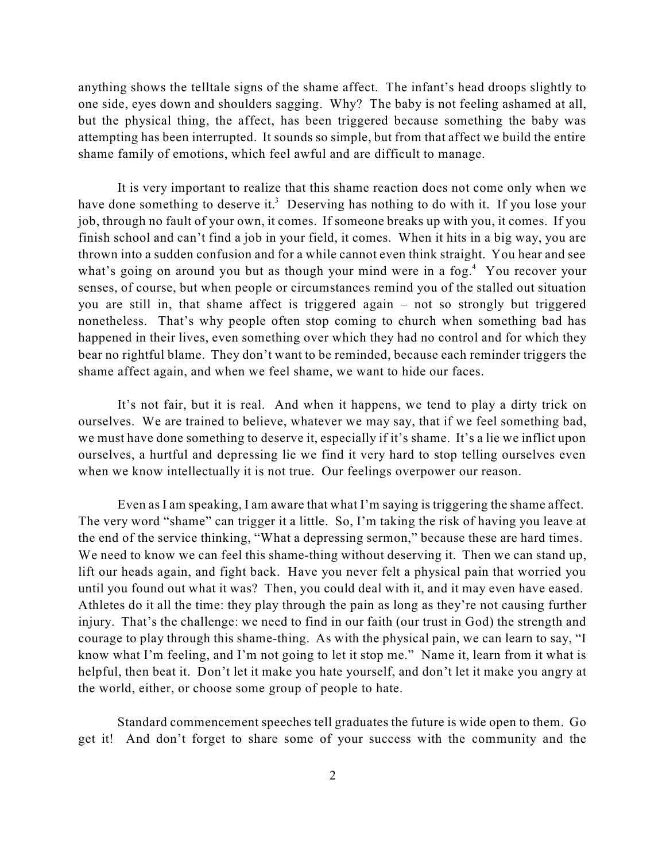anything shows the telltale signs of the shame affect. The infant's head droops slightly to one side, eyes down and shoulders sagging. Why? The baby is not feeling ashamed at all, but the physical thing, the affect, has been triggered because something the baby was attempting has been interrupted. It sounds so simple, but from that affect we build the entire shame family of emotions, which feel awful and are difficult to manage.

It is very important to realize that this shame reaction does not come only when we have done something to deserve it.<sup>3</sup> Deserving has nothing to do with it. If you lose your job, through no fault of your own, it comes. If someone breaks up with you, it comes. If you finish school and can't find a job in your field, it comes. When it hits in a big way, you are thrown into a sudden confusion and for a while cannot even think straight. You hear and see what's going on around you but as though your mind were in a fog.<sup>4</sup> You recover your senses, of course, but when people or circumstances remind you of the stalled out situation you are still in, that shame affect is triggered again – not so strongly but triggered nonetheless. That's why people often stop coming to church when something bad has happened in their lives, even something over which they had no control and for which they bear no rightful blame. They don't want to be reminded, because each reminder triggers the shame affect again, and when we feel shame, we want to hide our faces.

It's not fair, but it is real. And when it happens, we tend to play a dirty trick on ourselves. We are trained to believe, whatever we may say, that if we feel something bad, we must have done something to deserve it, especially if it's shame. It's a lie we inflict upon ourselves, a hurtful and depressing lie we find it very hard to stop telling ourselves even when we know intellectually it is not true. Our feelings overpower our reason.

Even as I am speaking, I am aware that what I'm saying is triggering the shame affect. The very word "shame" can trigger it a little. So, I'm taking the risk of having you leave at the end of the service thinking, "What a depressing sermon," because these are hard times. We need to know we can feel this shame-thing without deserving it. Then we can stand up, lift our heads again, and fight back. Have you never felt a physical pain that worried you until you found out what it was? Then, you could deal with it, and it may even have eased. Athletes do it all the time: they play through the pain as long as they're not causing further injury. That's the challenge: we need to find in our faith (our trust in God) the strength and courage to play through this shame-thing. As with the physical pain, we can learn to say, "I know what I'm feeling, and I'm not going to let it stop me." Name it, learn from it what is helpful, then beat it. Don't let it make you hate yourself, and don't let it make you angry at the world, either, or choose some group of people to hate.

Standard commencement speeches tell graduates the future is wide open to them. Go get it! And don't forget to share some of your success with the community and the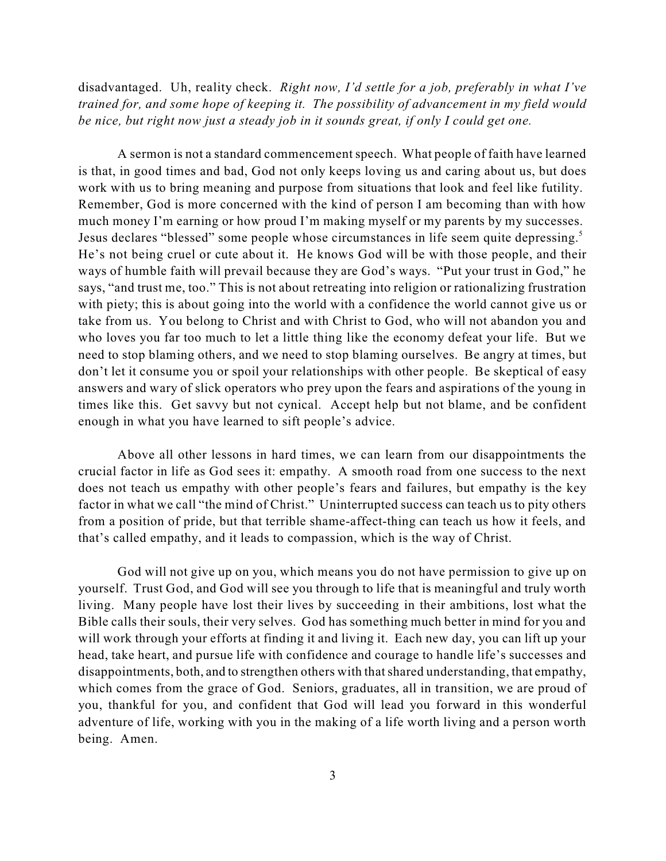disadvantaged. Uh, reality check. *Right now, I'd settle for a job, preferably in what I've trained for, and some hope of keeping it. The possibility of advancement in my field would be nice, but right now just a steady job in it sounds great, if only I could get one.*

A sermon is not a standard commencement speech. What people of faith have learned is that, in good times and bad, God not only keeps loving us and caring about us, but does work with us to bring meaning and purpose from situations that look and feel like futility. Remember, God is more concerned with the kind of person I am becoming than with how much money I'm earning or how proud I'm making myself or my parents by my successes. Jesus declares "blessed" some people whose circumstances in life seem quite depressing.<sup>5</sup> He's not being cruel or cute about it. He knows God will be with those people, and their ways of humble faith will prevail because they are God's ways. "Put your trust in God," he says, "and trust me, too." This is not about retreating into religion or rationalizing frustration with piety; this is about going into the world with a confidence the world cannot give us or take from us. You belong to Christ and with Christ to God, who will not abandon you and who loves you far too much to let a little thing like the economy defeat your life. But we need to stop blaming others, and we need to stop blaming ourselves. Be angry at times, but don't let it consume you or spoil your relationships with other people. Be skeptical of easy answers and wary of slick operators who prey upon the fears and aspirations of the young in times like this. Get savvy but not cynical. Accept help but not blame, and be confident enough in what you have learned to sift people's advice.

Above all other lessons in hard times, we can learn from our disappointments the crucial factor in life as God sees it: empathy. A smooth road from one success to the next does not teach us empathy with other people's fears and failures, but empathy is the key factor in what we call "the mind of Christ." Uninterrupted success can teach us to pity others from a position of pride, but that terrible shame-affect-thing can teach us how it feels, and that's called empathy, and it leads to compassion, which is the way of Christ.

God will not give up on you, which means you do not have permission to give up on yourself. Trust God, and God will see you through to life that is meaningful and truly worth living. Many people have lost their lives by succeeding in their ambitions, lost what the Bible calls their souls, their very selves. God has something much better in mind for you and will work through your efforts at finding it and living it. Each new day, you can lift up your head, take heart, and pursue life with confidence and courage to handle life's successes and disappointments, both, and to strengthen others with that shared understanding, that empathy, which comes from the grace of God. Seniors, graduates, all in transition, we are proud of you, thankful for you, and confident that God will lead you forward in this wonderful adventure of life, working with you in the making of a life worth living and a person worth being. Amen.